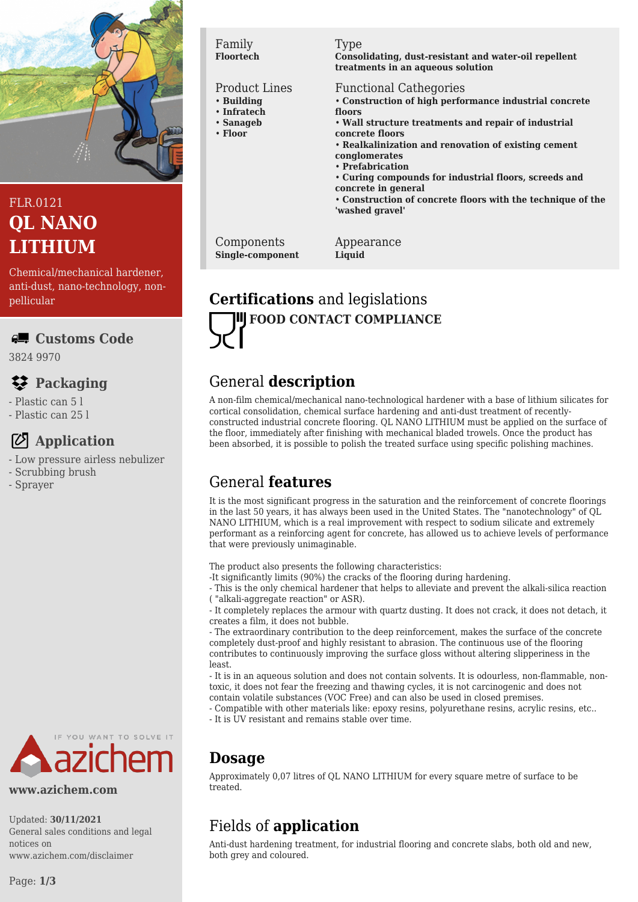

# FLR.0121 **QL NANO LITHIUM**

Chemical/mechanical hardener, anti-dust, nano-technology, nonpellicular

### **Customs Code**

3824 9970

## **Packaging**

- Plastic can 5 l
- Plastic can 25 l

# **Application**

- Low pressure airless nebulizer
- Scrubbing brush
- Sprayer



#### **www.azichem.com**

Updated: **30/11/2021** General sales conditions and legal notices on www.azichem.com/disclaimer

### Family **Floortech**

### Product Lines

- **Building**
- **Infratech**
- **Sanageb**
- **Floor**

#### Type

**Consolidating, dust-resistant and water-oil repellent treatments in an aqueous solution**

### Functional Cathegories

- **Construction of high performance industrial concrete floors**
- **Wall structure treatments and repair of industrial concrete floors**
- **Realkalinization and renovation of existing cement conglomerates**
- **Prefabrication**
- **Curing compounds for industrial floors, screeds and concrete in general**
- **Construction of concrete floors with the technique of the 'washed gravel'**

Components **Single-component**

Appearance **Liquid**

# **Certifications** and legislations **FOOD CONTACT COMPLIANCE**

# General **description**

A non-film chemical/mechanical nano-technological hardener with a base of lithium silicates for cortical consolidation, chemical surface hardening and anti-dust treatment of recentlyconstructed industrial concrete flooring. QL NANO LITHIUM must be applied on the surface of the floor, immediately after finishing with mechanical bladed trowels. Once the product has been absorbed, it is possible to polish the treated surface using specific polishing machines.

# General **features**

It is the most significant progress in the saturation and the reinforcement of concrete floorings in the last 50 years, it has always been used in the United States. The "nanotechnology" of QL NANO LITHIUM, which is a real improvement with respect to sodium silicate and extremely performant as a reinforcing agent for concrete, has allowed us to achieve levels of performance that were previously unimaginable.

The product also presents the following characteristics:

-It significantly limits (90%) the cracks of the flooring during hardening.

- This is the only chemical hardener that helps to alleviate and prevent the alkali-silica reaction ( "alkali-aggregate reaction" or ASR).

- It completely replaces the armour with quartz dusting. It does not crack, it does not detach, it creates a film, it does not bubble.

- The extraordinary contribution to the deep reinforcement, makes the surface of the concrete completely dust-proof and highly resistant to abrasion. The continuous use of the flooring contributes to continuously improving the surface gloss without altering slipperiness in the least.

- It is in an aqueous solution and does not contain solvents. It is odourless, non-flammable, nontoxic, it does not fear the freezing and thawing cycles, it is not carcinogenic and does not contain volatile substances (VOC Free) and can also be used in closed premises.

- Compatible with other materials like: epoxy resins, polyurethane resins, acrylic resins, etc.. - It is UV resistant and remains stable over time.

# **Dosage**

Approximately 0,07 litres of QL NANO LITHIUM for every square metre of surface to be treated.

# Fields of **application**

Anti-dust hardening treatment, for industrial flooring and concrete slabs, both old and new, both grey and coloured.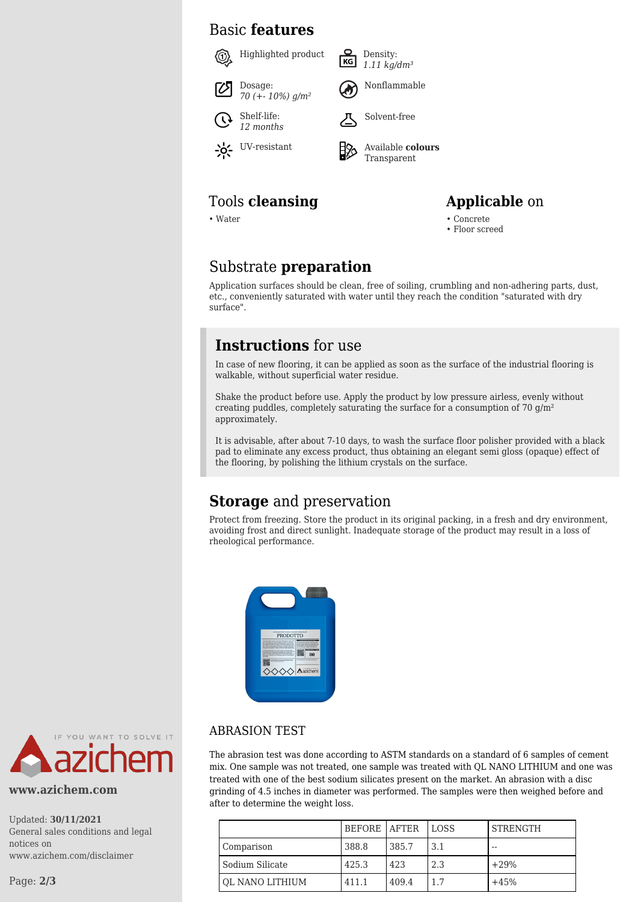### Basic **features**



### Tools **cleansing Applicable** on

• Water • Concrete



• Floor screed

### Substrate **preparation**

Application surfaces should be clean, free of soiling, crumbling and non-adhering parts, dust, etc., conveniently saturated with water until they reach the condition "saturated with dry surface".

### **Instructions** for use

In case of new flooring, it can be applied as soon as the surface of the industrial flooring is walkable, without superficial water residue.

Shake the product before use. Apply the product by low pressure airless, evenly without creating puddles, completely saturating the surface for a consumption of  $70 \text{ g/m}^2$ approximately.

It is advisable, after about 7-10 days, to wash the surface floor polisher provided with a black pad to eliminate any excess product, thus obtaining an elegant semi gloss (opaque) effect of the flooring, by polishing the lithium crystals on the surface.

### **Storage** and preservation

Protect from freezing. Store the product in its original packing, in a fresh and dry environment, avoiding frost and direct sunlight. Inadequate storage of the product may result in a loss of rheological performance.





#### **www.azichem.com**

Updated: **30/11/2021** General sales conditions and legal notices on www.azichem.com/disclaimer

Page: **2/3**

### ABRASION TEST

The abrasion test was done according to ASTM standards on a standard of 6 samples of cement mix. One sample was not treated, one sample was treated with QL NANO LITHIUM and one was treated with one of the best sodium silicates present on the market. An abrasion with a disc grinding of 4.5 inches in diameter was performed. The samples were then weighed before and after to determine the weight loss.

|                 | <b>BEFORE LAFTER</b> |       | <b>LOSS</b> | <b>STRENGTH</b> |
|-----------------|----------------------|-------|-------------|-----------------|
| Comparison      | 388.8                | 385.7 | 3.1         | $- -$           |
| Sodium Silicate | 425.3                | 423   | 2.3         | $+29%$          |
| OL NANO LITHIUM | 411.1                | 409.4 | 1.7         | $+45%$          |